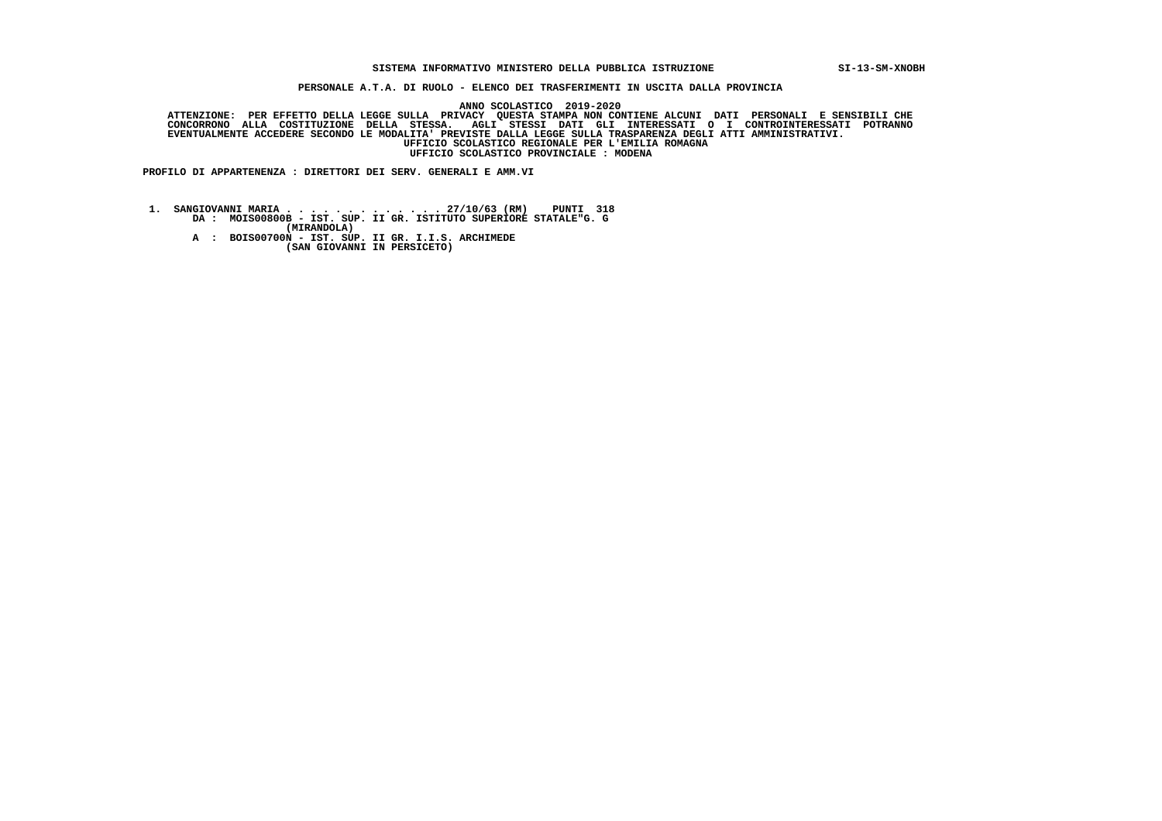## **SISTEMA INFORMATIVO MINISTERO DELLA PUBBLICA ISTRUZIONE SI-13-SM-XNOBH**

 **PERSONALE A.T.A. DI RUOLO - ELENCO DEI TRASFERIMENTI IN USCITA DALLA PROVINCIA**

 **ANNO SCOLASTICO 2019-2020**ATTENZIONE: PER EFFETTO DELLA LEGGE SULLA PRIVACY QUESTA STAMPA NON CONTIENE ALCUNI DATI PERSONALI E SENSIBILI<br>CONCORRONO ALLA COSTITUZIONE DELLA STESSA. AGLI STESSI DATI GLI INTERESSATI O I CONTROINTERESSATI POTRANNO  **EVENTUALMENTE ACCEDERE SECONDO LE MODALITA' PREVISTE DALLA LEGGE SULLA TRASPARENZA DEGLI ATTI AMMINISTRATIVI. UFFICIO SCOLASTICO REGIONALE PER L'EMILIA ROMAGNA UFFICIO SCOLASTICO PROVINCIALE : MODENA**

 **PROFILO DI APPARTENENZA : DIRETTORI DEI SERV. GENERALI E AMM.VI**

 **1. SANGIOVANNI MARIA . . . . . . . . . . . . . 27/10/63 (RM) PUNTI 318 DA : MOIS00800B - IST. SUP. II GR. ISTITUTO SUPERIORE STATALE"G. G (MIRANDOLA) A : BOIS00700N - IST. SUP. II GR. I.I.S. ARCHIMEDE (SAN GIOVANNI IN PERSICETO)**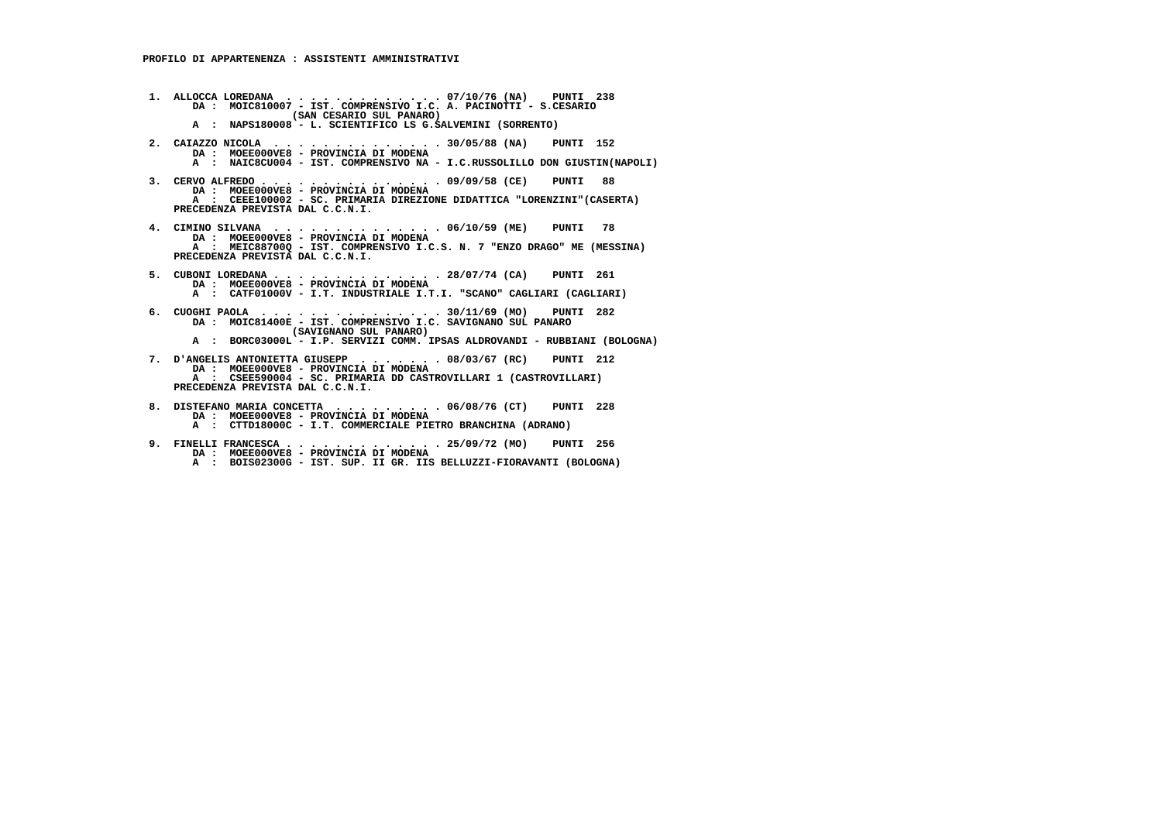- **1. ALLOCCA LOREDANA . . . . . . . . . . . . . 07/10/76 (NA) PUNTI 238 DA : MOIC810007 IST. COMPRENSIVO I.C. A. PACINOTTI S.CESARIO (SAN CESARIO SUL PANARO) A : NAPS180008 - L. SCIENTIFICO LS G.SALVEMINI (SORRENTO)**
- **2. CAIAZZO NICOLA . . . . . . . . . . . . . . 30/05/88 (NA) PUNTI 152 DA : MOEE000VE8 PROVINCIA DI MODENA A : NAIC8CU004 - IST. COMPRENSIVO NA - I.C.RUSSOLILLO DON GIUSTIN(NAPOLI)**
- **3. CERVO ALFREDO . . . . . . . . . . . . . . . 09/09/58 (CE) PUNTI 88 DA : MOEE000VE8 PROVINCIA DI MODENA A : CEEE100002 - SC. PRIMARIA DIREZIONE DIDATTICA "LORENZINI"(CASERTA) PRECEDENZA PREVISTA DAL C.C.N.I.**
- **4. CIMINO SILVANA . . . . . . . . . . . . . . 06/10/59 (ME) PUNTI 78 DA : MOEE000VE8 PROVINCIA DI MODENA A : MEIC88700Q - IST. COMPRENSIVO I.C.S. N. 7 "ENZO DRAGO" ME (MESSINA) PRECEDENZA PREVISTA DAL C.C.N.I.**
- **5. CUBONI LOREDANA . . . . . . . . . . . . . . 28/07/74 (CA) PUNTI 261 DA : MOEE000VE8 PROVINCIA DI MODENA A : CATF01000V - I.T. INDUSTRIALE I.T.I. "SCANO" CAGLIARI (CAGLIARI)**
	- **6. CUOGHI PAOLA . . . . . . . . . . . . . . . 30/11/69 (MO) PUNTI 282 DA : MOIC81400E - IST. COMPRENSIVO I.C. SAVIGNANO SUL PANARO (SAVIGNANO SUL PANARO)**
- **A : BORC03000L I.P. SERVIZI COMM. IPSAS ALDROVANDI RUBBIANI (BOLOGNA)**
- **7. D'ANGELIS ANTONIETTA GIUSEPP . . . . . . . 08/03/67 (RC) PUNTI 212 DA : MOEE000VE8 PROVINCIA DI MODENA A : CSEE590004 - SC. PRIMARIA DD CASTROVILLARI 1 (CASTROVILLARI) PRECEDENZA PREVISTA DAL C.C.N.I.**
	- **8. DISTEFANO MARIA CONCETTA . . . . . . . . . 06/08/76 (CT) PUNTI 228 DA : MOEE000VE8 - PROVINCIA DI MODENA**
- **A : CTTD18000C I.T. COMMERCIALE PIETRO BRANCHINA (ADRANO)**
- **9. FINELLI FRANCESCA . . . . . . . . . . . . . 25/09/72 (MO) PUNTI 256 DA : MOEE000VE8 PROVINCIA DI MODENA**
- **A : BOIS02300G IST. SUP. II GR. IIS BELLUZZI-FIORAVANTI (BOLOGNA)**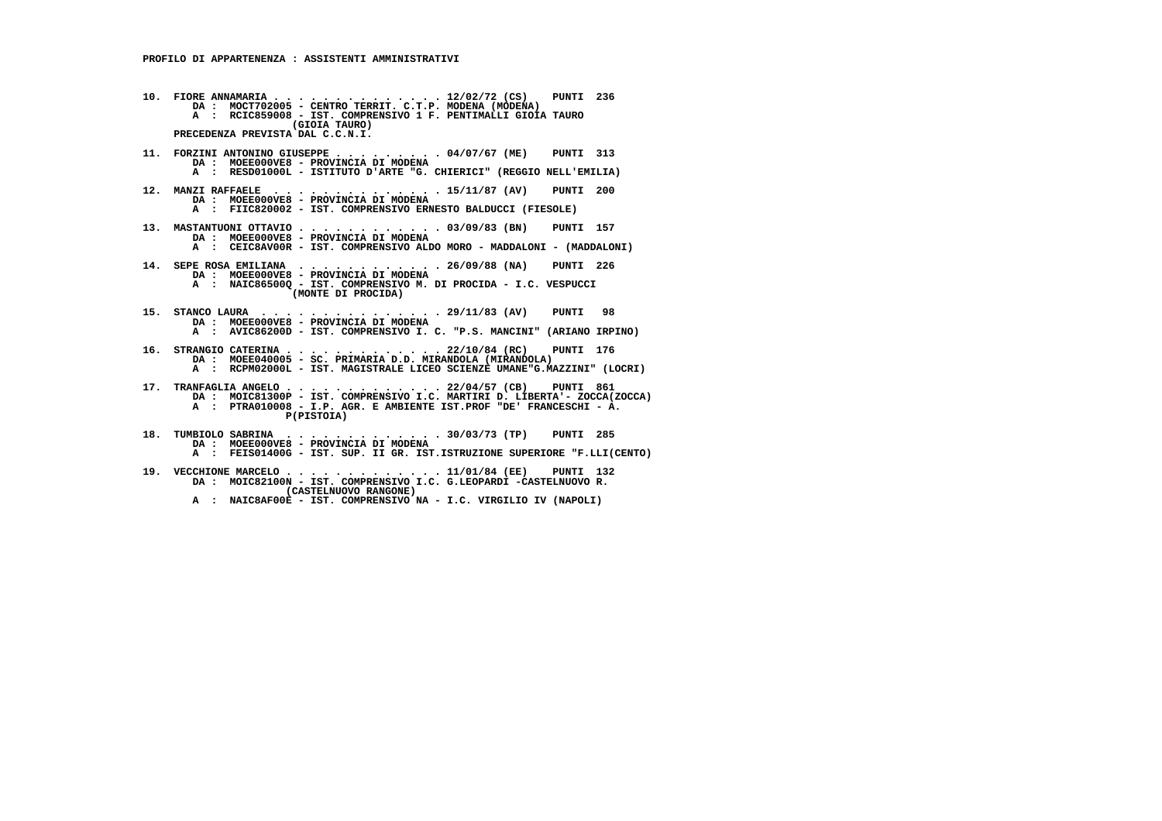**10. FIORE ANNAMARIA . . . . . . . . . . . . . . 12/02/72 (CS) PUNTI 236 DA : MOCT702005 - CENTRO TERRIT. C.T.P. MODENA (MODENA) A : RCIC859008 - IST. COMPRENSIVO 1 F. PENTIMALLI GIOIA TAURO (GIOIA TAURO) PRECEDENZA PREVISTA DAL C.C.N.I. 11. FORZINI ANTONINO GIUSEPPE . . . . . . . . . 04/07/67 (ME) PUNTI 313 DA : MOEE000VE8 - PROVINCIA DI MODENA A : RESD01000L - ISTITUTO D'ARTE "G. CHIERICI" (REGGIO NELL'EMILIA) 12. MANZI RAFFAELE . . . . . . . . . . . . . . 15/11/87 (AV) PUNTI 200 DA : MOEE000VE8 - PROVINCIA DI MODENA A : FIIC820002 - IST. COMPRENSIVO ERNESTO BALDUCCI (FIESOLE) 13. MASTANTUONI OTTAVIO . . . . . . . . . . . . 03/09/83 (BN) PUNTI 157 DA : MOEE000VE8 - PROVINCIA DI MODENA A : CEIC8AV00R - IST. COMPRENSIVO ALDO MORO - MADDALONI - (MADDALONI) 14. SEPE ROSA EMILIANA . . . . . . . . . . . . 26/09/88 (NA) PUNTI 226 DA : MOEE000VE8 - PROVINCIA DI MODENA A : NAIC86500Q - IST. COMPRENSIVO M. DI PROCIDA - I.C. VESPUCCI (MONTE DI PROCIDA) 15. STANCO LAURA . . . . . . . . . . . . . . . 29/11/83 (AV) PUNTI 98 DA : MOEE000VE8 - PROVINCIA DI MODENA A : AVIC86200D - IST. COMPRENSIVO I. C. "P.S. MANCINI" (ARIANO IRPINO)**16. STRANGIO CATERINA . . . . . . . . . . . . 22/10/84 (RC) PUNTI 176<br>DA : MOEE040005 - SC. PRIMARIA D.D. MIRANDOLA (MIRANDOLA)<br>A : RCPM02000L - IST. MAGISTRALE LICEO SCIENZE UMANE"G.MAZZINI" (LOCRI)  **17. TRANFAGLIA ANGELO . . . . . . . . . . . . . 22/04/57 (CB) PUNTI 861 DA : MOIC81300P - IST. COMPRENSIVO I.C. MARTIRI D. LIBERTA'- ZOCCA(ZOCCA) A : PTRA010008 - I.P. AGR. E AMBIENTE IST.PROF "DE' FRANCESCHI - A. P(PISTOIA) 18. TUMBIOLO SABRINA . . . . . . . . . . . . . 30/03/73 (TP) PUNTI 285 DA : MOEE000VE8 - PROVINCIA DI MODENA A : FEIS01400G - IST. SUP. II GR. IST.ISTRUZIONE SUPERIORE "F.LLI(CENTO)**

 **19. VECCHIONE MARCELO . . . . . . . . . . . . . 11/01/84 (EE) PUNTI 132 DA : MOIC82100N - IST. COMPRENSIVO I.C. G.LEOPARDI -CASTELNUOVO R. (CASTELNUOVO RANGONE) A : NAIC8AF00E - IST. COMPRENSIVO NA - I.C. VIRGILIO IV (NAPOLI)**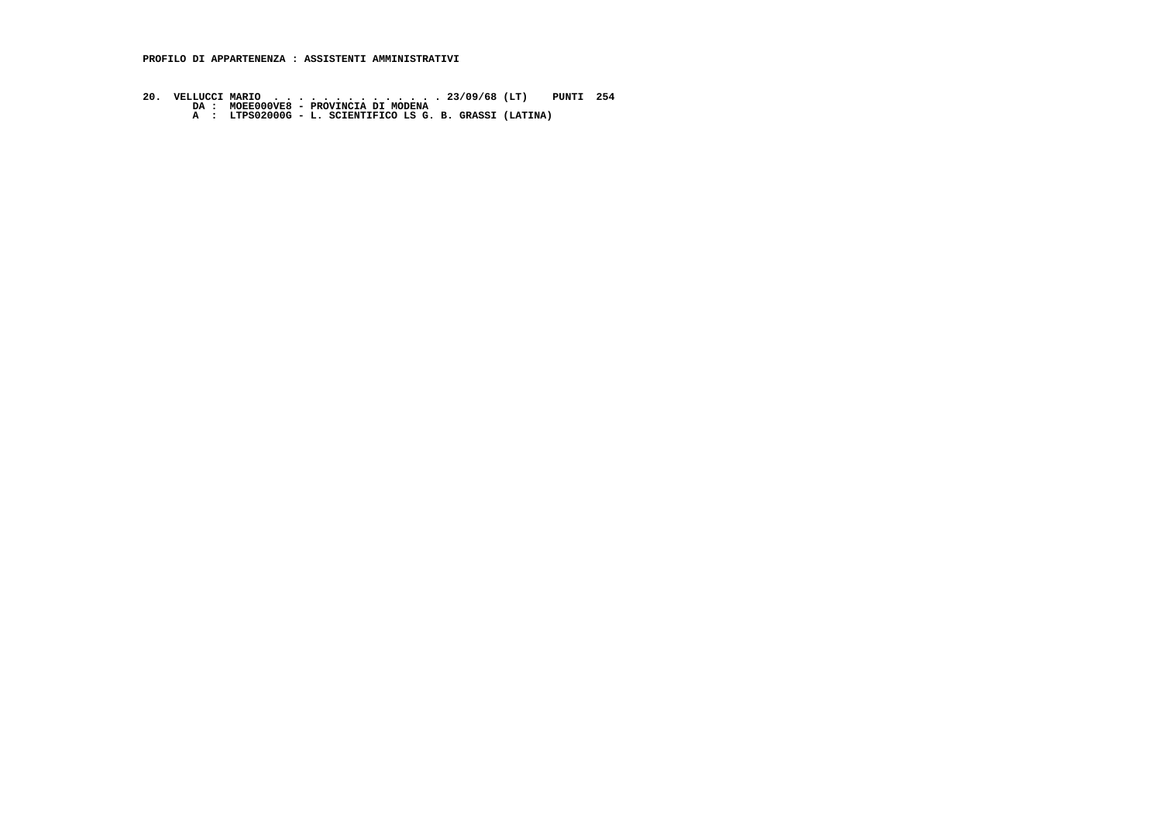**PROFILO DI APPARTENENZA : ASSISTENTI AMMINISTRATIVI**

- **20. VELLUCCI MARIO . . . . . . . . . . . . . . 23/09/68 (LT) PUNTI 254 DA : MOEE000VE8 PROVINCIA DI MODENA A : LTPS02000G L. SCIENTIFICO LS G. B. GRASSI (LATINA)**
	-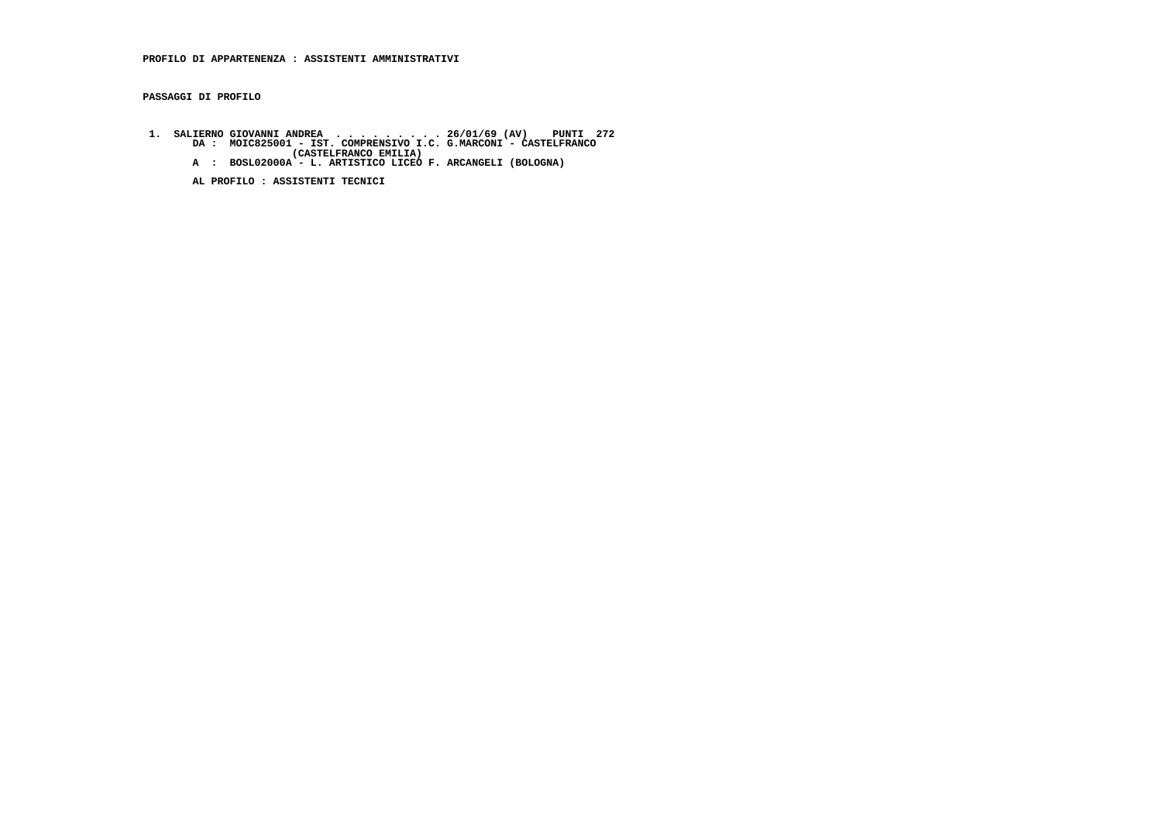## **PROFILO DI APPARTENENZA : ASSISTENTI AMMINISTRATIVI**

 **PASSAGGI DI PROFILO**

- 1. SALIERNO GIOVANNI ANDREA . . . . . . . . 26/01/69 (AV) PUNTI 272<br>DA : MOIC825001 IST. COMPRENSIVO I.C. G.MARCONI CASTELFRANCO<br>(CASTELFRANCO EMILIA) (CASTELFRANCO EMILIA)<br>A : BOSL02000A L. ARTISTICO LICEO F. ARCANG
	-

 **AL PROFILO : ASSISTENTI TECNICI**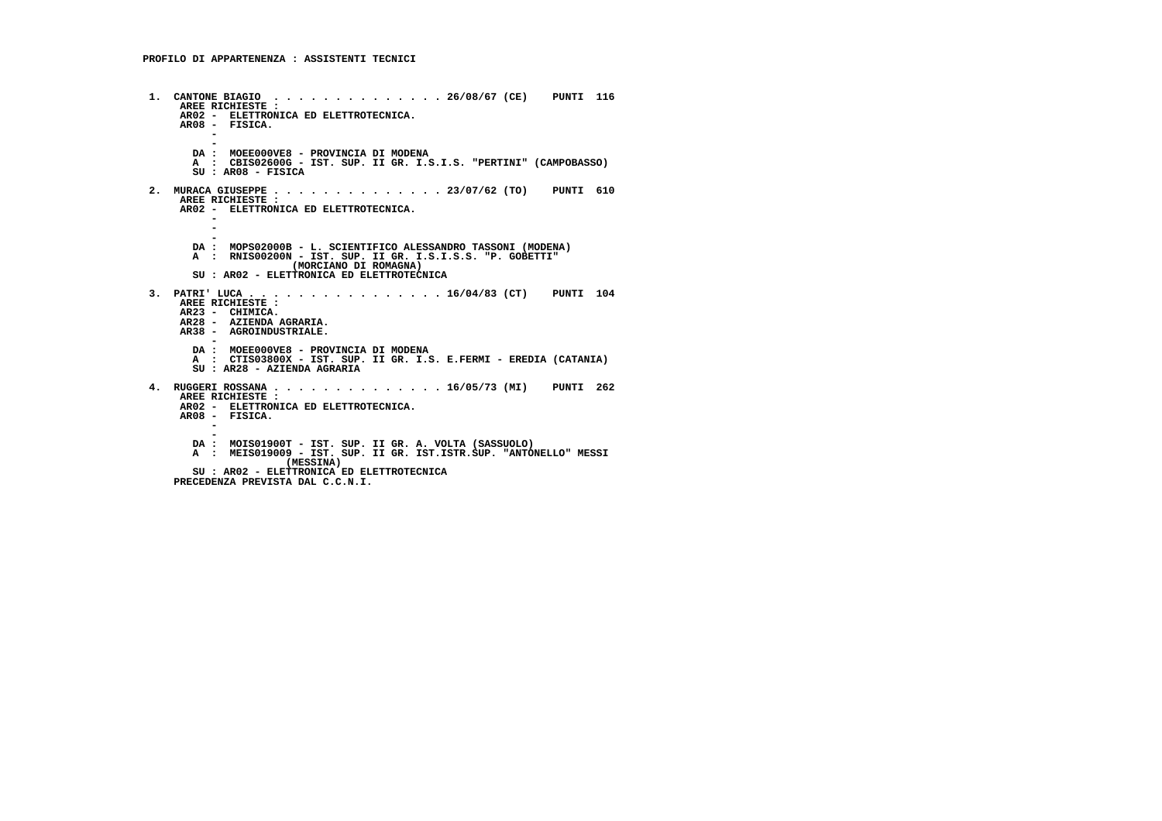**1. CANTONE BIAGIO . . . . . . . . . . . . . . 26/08/67 (CE) PUNTI 116 AREE RICHIESTE : AR02 - ELETTRONICA ED ELETTROTECNICA. AR08 - FISICA. - - DA : MOEE000VE8 - PROVINCIA DI MODENA A : CBIS02600G - IST. SUP. II GR. I.S.I.S. "PERTINI" (CAMPOBASSO) SU : AR08 - FISICA 2. MURACA GIUSEPPE . . . . . . . . . . . . . . 23/07/62 (TO) PUNTI 610 AREE RICHIESTE : AR02 - ELETTRONICA ED ELETTROTECNICA. - - - DA : MOPS02000B - L. SCIENTIFICO ALESSANDRO TASSONI (MODENA) A : RNIS00200N - IST. SUP. II GR. I.S.I.S.S. "P. GOBETTI" (MORCIANO DI ROMAGNA) SU : AR02 - ELETTRONICA ED ELETTROTECNICA 3. PATRI' LUCA . . . . . . . . . . . . . . . . 16/04/83 (CT) PUNTI 104 AREE RICHIESTE : AR23 - CHIMICA. AR28 - AZIENDA AGRARIA. AR38 - AGROINDUSTRIALE. - DA : MOEE000VE8 - PROVINCIA DI MODENA A : CTIS03800X - IST. SUP. II GR. I.S. E.FERMI - EREDIA (CATANIA) SU : AR28 - AZIENDA AGRARIA 4. RUGGERI ROSSANA . . . . . . . . . . . . . . 16/05/73 (MI) PUNTI 262 AREE RICHIESTE : AR02 - ELETTRONICA ED ELETTROTECNICA. AR08 - FISICA. - - DA : MOIS01900T - IST. SUP. II GR. A. VOLTA (SASSUOLO) A : MEIS019009 - IST. SUP. II GR. IST.ISTR.SUP. "ANTONELLO" MESSI (MESSINA) SU : AR02 - ELETTRONICA ED ELETTROTECNICA PRECEDENZA PREVISTA DAL C.C.N.I.**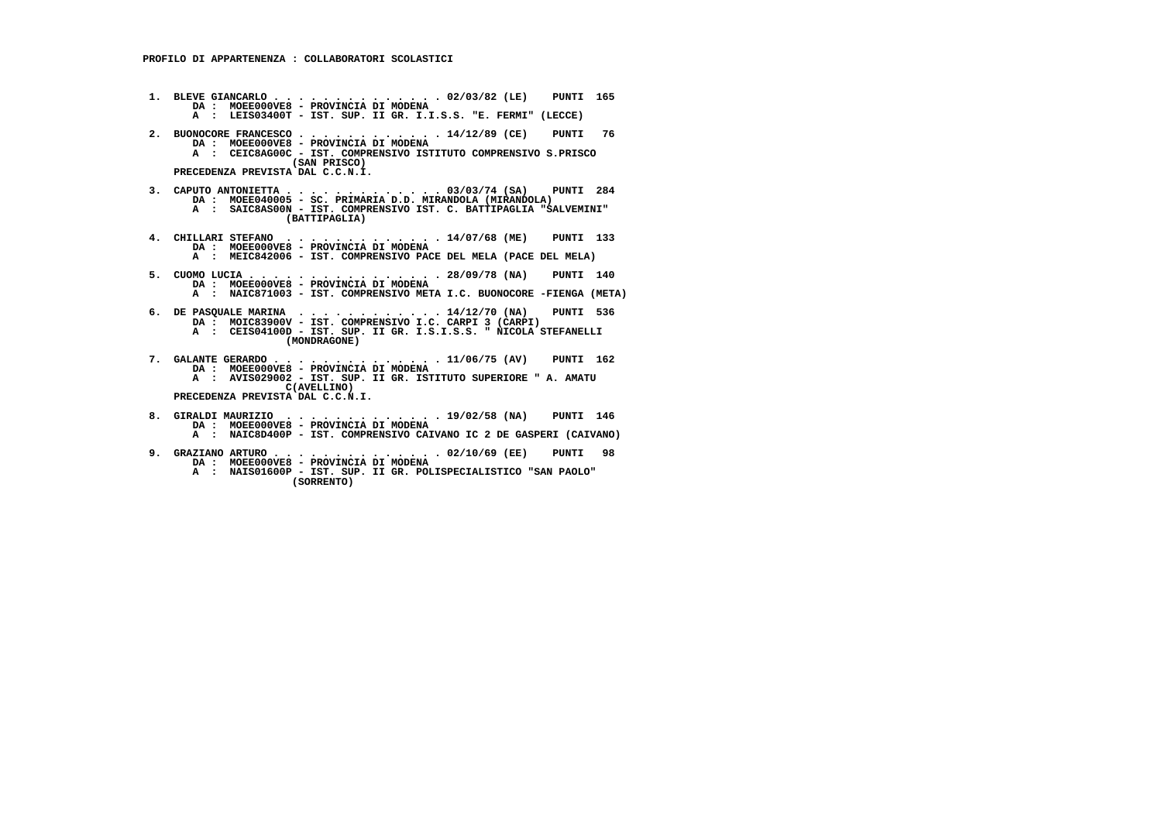**1. BLEVE GIANCARLO . . . . . . . . . . . . . . 02/03/82 (LE) PUNTI 165 DA : MOEE000VE8 - PROVINCIA DI MODENA A : LEIS03400T - IST. SUP. II GR. I.I.S.S. "E. FERMI" (LECCE) 2. BUONOCORE FRANCESCO . . . . . . . . . . . . 14/12/89 (CE) PUNTI 76 DA : MOEE000VE8 - PROVINCIA DI MODENA A : CEIC8AG00C - IST. COMPRENSIVO ISTITUTO COMPRENSIVO S.PRISCO (SAN PRISCO) PRECEDENZA PREVISTA DAL C.C.N.I. 3. CAPUTO ANTONIETTA . . . . . . . . . . . . . 03/03/74 (SA) PUNTI 284 DA : MOEE040005 - SC. PRIMARIA D.D. MIRANDOLA (MIRANDOLA) A : SAIC8AS00N - IST. COMPRENSIVO IST. C. BATTIPAGLIA "SALVEMINI" (BATTIPAGLIA) 4. CHILLARI STEFANO . . . . . . . . . . . . . 14/07/68 (ME) PUNTI 133 DA : MOEE000VE8 - PROVINCIA DI MODENA A : MEIC842006 - IST. COMPRENSIVO PACE DEL MELA (PACE DEL MELA) 5. CUOMO LUCIA . . . . . . . . . . . . . . . . 28/09/78 (NA) PUNTI 140 DA : MOEE000VE8 - PROVINCIA DI MODENA A : NAIC871003 - IST. COMPRENSIVO META I.C. BUONOCORE -FIENGA (META) 6. DE PASQUALE MARINA . . . . . . . . . . . . 14/12/70 (NA) PUNTI 536 DA : MOIC83900V - IST. COMPRENSIVO I.C. CARPI 3 (CARPI) A : CEIS04100D - IST. SUP. II GR. I.S.I.S.S. " NICOLA STEFANELLI (MONDRAGONE) 7. GALANTE GERARDO . . . . . . . . . . . . . . 11/06/75 (AV) PUNTI 162 DA : MOEE000VE8 - PROVINCIA DI MODENA A : AVIS029002 - IST. SUP. II GR. ISTITUTO SUPERIORE " A. AMATU C(AVELLINO) PRECEDENZA PREVISTA DAL C.C.N.I. 8. GIRALDI MAURIZIO . . . . . . . . . . . . . 19/02/58 (NA) PUNTI 146 DA : MOEE000VE8 - PROVINCIA DI MODENA A : NAIC8D400P - IST. COMPRENSIVO CAIVANO IC 2 DE GASPERI (CAIVANO)**

- **9. GRAZIANO ARTURO . . . . . . . . . . . . . . 02/10/69 (EE) PUNTI 98 DA : MOEE000VE8 - PROVINCIA DI MODENA**
- **A : NAIS01600P IST. SUP. II GR. POLISPECIALISTICO "SAN PAOLO" (SORRENTO)**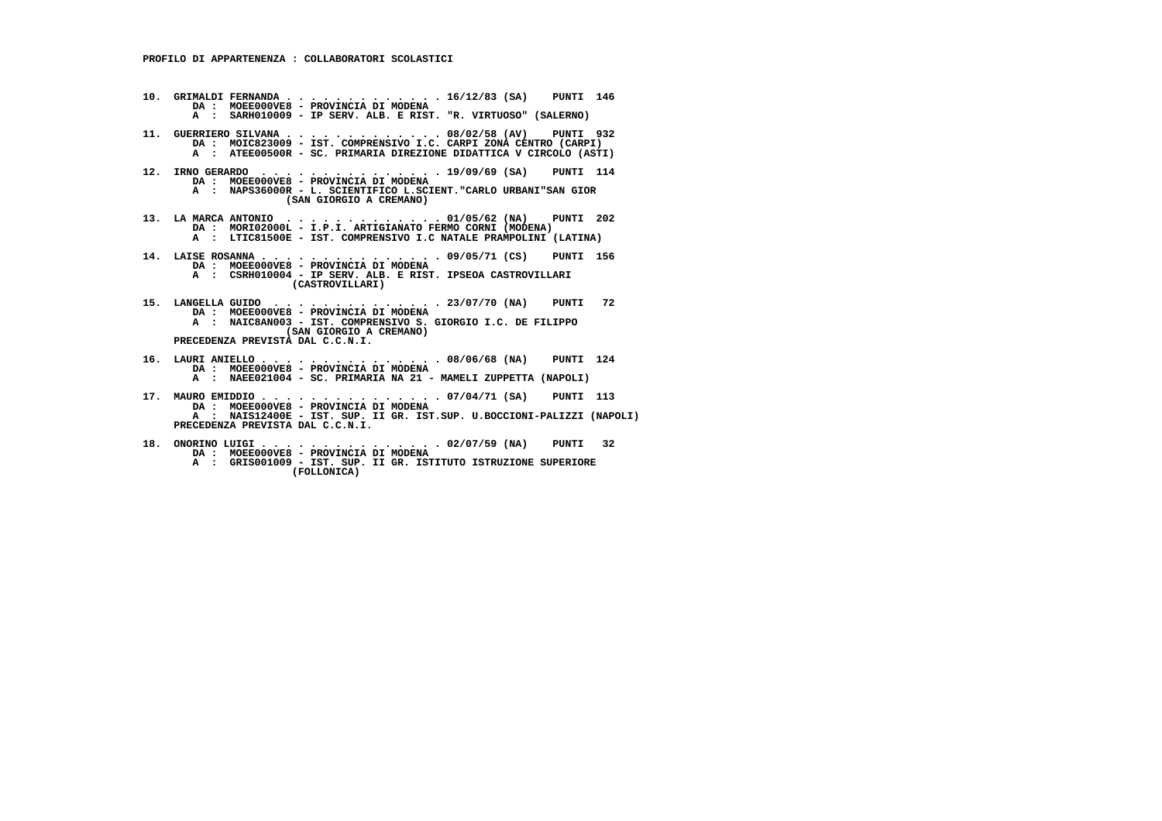- **10. GRIMALDI FERNANDA . . . . . . . . . . . . . 16/12/83 (SA) PUNTI 146 DA : MOEE000VE8 - PROVINCIA DI MODENA A : SARH010009 - IP SERV. ALB. E RIST. "R. VIRTUOSO" (SALERNO) 11. GUERRIERO SILVANA . . . . . . . . . . . . . 08/02/58 (AV) PUNTI 932 DA : MOIC823009 - IST. COMPRENSIVO I.C. CARPI ZONA CENTRO (CARPI) A : ATEE00500R - SC. PRIMARIA DIREZIONE DIDATTICA V CIRCOLO (ASTI) 12. IRNO GERARDO . . . . . . . . . . . . . . . 19/09/69 (SA) PUNTI 114 DA : MOEE000VE8 - PROVINCIA DI MODENA A : NAPS36000R - L. SCIENTIFICO L.SCIENT."CARLO URBANI"SAN GIOR**
	- **(SAN GIORGIO A CREMANO)**
- **13. LA MARCA ANTONIO . . . . . . . . . . . . . 01/05/62 (NA) PUNTI 202 DA : MORI02000L I.P.I. ARTIGIANATO FERMO CORNI (MODENA) A : LTIC81500E - IST. COMPRENSIVO I.C NATALE PRAMPOLINI (LATINA)**
- **14. LAISE ROSANNA . . . . . . . . . . . . . . . 09/05/71 (CS) PUNTI 156 DA : MOEE000VE8 - PROVINCIA DI MODENA A : CSRH010004 - IP SERV. ALB. E RIST. IPSEOA CASTROVILLARI (CASTROVILLARI)**
- **15. LANGELLA GUIDO . . . . . . . . . . . . . . 23/07/70 (NA) PUNTI 72 DA : MOEE000VE8 PROVINCIA DI MODENA A : NAIC8AN003 - IST. COMPRENSIVO S. GIORGIO I.C. DE FILIPPO (SAN GIORGIO A CREMANO) PRECEDENZA PREVISTA DAL C.C.N.I.**
- **16. LAURI ANIELLO . . . . . . . . . . . . . . . 08/06/68 (NA) PUNTI 124 DA : MOEE000VE8 PROVINCIA DI MODENA A : NAEE021004 - SC. PRIMARIA NA 21 - MAMELI ZUPPETTA (NAPOLI)**
- **17. MAURO EMIDDIO . . . . . . . . . . . . . . . 07/04/71 (SA) PUNTI 113 DA : MOEE000VE8 PROVINCIA DI MODENA A : NAIS12400E - IST. SUP. II GR. IST.SUP. U.BOCCIONI-PALIZZI (NAPOLI) PRECEDENZA PREVISTA DAL C.C.N.I.**
- **18. ONORINO LUIGI . . . . . . . . . . . . . . . 02/07/59 (NA) PUNTI 32 DA : MOEE000VE8 PROVINCIA DI MODENA A : GRIS001009 - IST. SUP. II GR. ISTITUTO ISTRUZIONE SUPERIORE (FOLLONICA)**